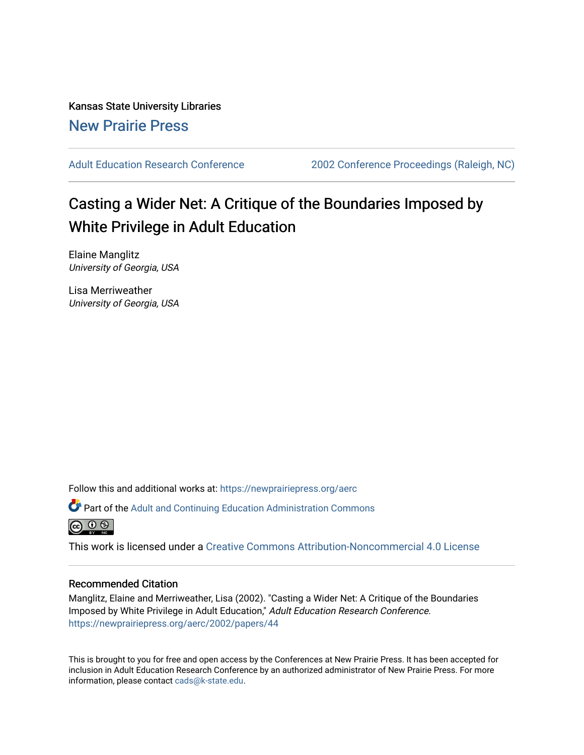Kansas State University Libraries [New Prairie Press](https://newprairiepress.org/) 

[Adult Education Research Conference](https://newprairiepress.org/aerc) [2002 Conference Proceedings \(Raleigh, NC\)](https://newprairiepress.org/aerc/2002) 

# Casting a Wider Net: A Critique of the Boundaries Imposed by White Privilege in Adult Education

Elaine Manglitz University of Georgia, USA

Lisa Merriweather University of Georgia, USA

Follow this and additional works at: [https://newprairiepress.org/aerc](https://newprairiepress.org/aerc?utm_source=newprairiepress.org%2Faerc%2F2002%2Fpapers%2F44&utm_medium=PDF&utm_campaign=PDFCoverPages)

Part of the [Adult and Continuing Education Administration Commons](http://network.bepress.com/hgg/discipline/789?utm_source=newprairiepress.org%2Faerc%2F2002%2Fpapers%2F44&utm_medium=PDF&utm_campaign=PDFCoverPages)



This work is licensed under a [Creative Commons Attribution-Noncommercial 4.0 License](https://creativecommons.org/licenses/by-nc/4.0/)

## Recommended Citation

Manglitz, Elaine and Merriweather, Lisa (2002). "Casting a Wider Net: A Critique of the Boundaries Imposed by White Privilege in Adult Education," Adult Education Research Conference. <https://newprairiepress.org/aerc/2002/papers/44>

This is brought to you for free and open access by the Conferences at New Prairie Press. It has been accepted for inclusion in Adult Education Research Conference by an authorized administrator of New Prairie Press. For more information, please contact [cads@k-state.edu](mailto:cads@k-state.edu).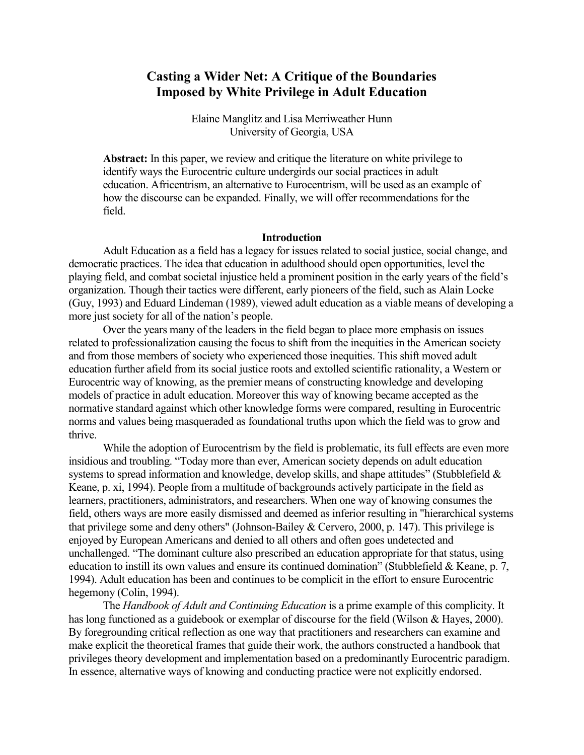## **Casting a Wider Net: A Critique of the Boundaries Imposed by White Privilege in Adult Education**

Elaine Manglitz and Lisa Merriweather Hunn University of Georgia, USA

**Abstract:** In this paper, we review and critique the literature on white privilege to identify ways the Eurocentric culture undergirds our social practices in adult education. Africentrism, an alternative to Eurocentrism, will be used as an example of how the discourse can be expanded. Finally, we will offer recommendations for the field.

### **Introduction**

Adult Education as a field has a legacy for issues related to social justice, social change, and democratic practices. The idea that education in adulthood should open opportunities, level the playing field, and combat societal injustice held a prominent position in the early years of the field's organization. Though their tactics were different, early pioneers of the field, such as Alain Locke (Guy, 1993) and Eduard Lindeman (1989), viewed adult education as a viable means of developing a more just society for all of the nation's people.

Over the years many of the leaders in the field began to place more emphasis on issues related to professionalization causing the focus to shift from the inequities in the American society and from those members of society who experienced those inequities. This shift moved adult education further afield from its social justice roots and extolled scientific rationality, a Western or Eurocentric way of knowing, as the premier means of constructing knowledge and developing models of practice in adult education. Moreover this way of knowing became accepted as the normative standard against which other knowledge forms were compared, resulting in Eurocentric norms and values being masqueraded as foundational truths upon which the field was to grow and thrive.

While the adoption of Eurocentrism by the field is problematic, its full effects are even more insidious and troubling. "Today more than ever, American society depends on adult education systems to spread information and knowledge, develop skills, and shape attitudes" (Stubblefield & Keane, p. xi, 1994). People from a multitude of backgrounds actively participate in the field as learners, practitioners, administrators, and researchers. When one way of knowing consumes the field, others ways are more easily dismissed and deemed as inferior resulting in "hierarchical systems that privilege some and deny others" (Johnson-Bailey & Cervero, 2000, p. 147). This privilege is enjoyed by European Americans and denied to all others and often goes undetected and unchallenged. "The dominant culture also prescribed an education appropriate for that status, using education to instill its own values and ensure its continued domination" (Stubblefield & Keane, p. 7, 1994). Adult education has been and continues to be complicit in the effort to ensure Eurocentric hegemony (Colin, 1994).

The *Handbook of Adult and Continuing Education* is a prime example of this complicity. It has long functioned as a guidebook or exemplar of discourse for the field (Wilson & Hayes, 2000). By foregrounding critical reflection as one way that practitioners and researchers can examine and make explicit the theoretical frames that guide their work, the authors constructed a handbook that privileges theory development and implementation based on a predominantly Eurocentric paradigm. In essence, alternative ways of knowing and conducting practice were not explicitly endorsed.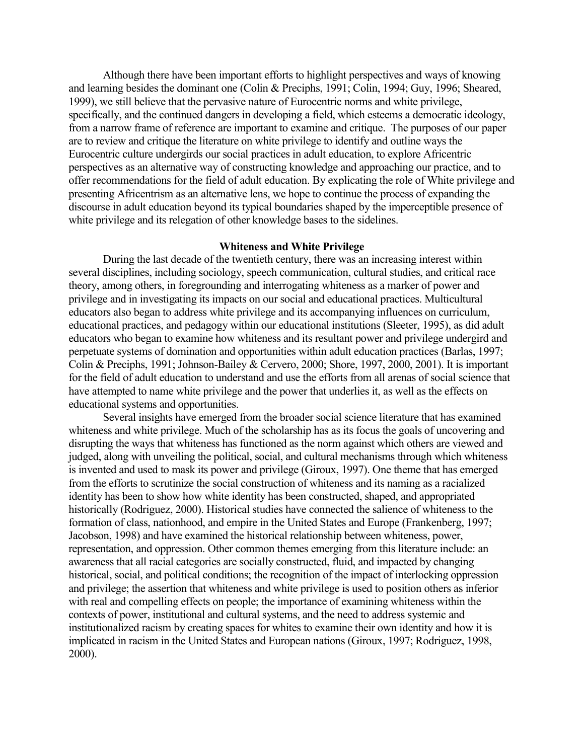Although there have been important efforts to highlight perspectives and ways of knowing and learning besides the dominant one (Colin & Preciphs, 1991; Colin, 1994; Guy, 1996; Sheared, 1999), we still believe that the pervasive nature of Eurocentric norms and white privilege, specifically, and the continued dangers in developing a field, which esteems a democratic ideology, from a narrow frame of reference are important to examine and critique. The purposes of our paper are to review and critique the literature on white privilege to identify and outline ways the Eurocentric culture undergirds our social practices in adult education, to explore Africentric perspectives as an alternative way of constructing knowledge and approaching our practice, and to offer recommendations for the field of adult education. By explicating the role of White privilege and presenting Africentrism as an alternative lens, we hope to continue the process of expanding the discourse in adult education beyond its typical boundaries shaped by the imperceptible presence of white privilege and its relegation of other knowledge bases to the sidelines.

## **Whiteness and White Privilege**

During the last decade of the twentieth century, there was an increasing interest within several disciplines, including sociology, speech communication, cultural studies, and critical race theory, among others, in foregrounding and interrogating whiteness as a marker of power and privilege and in investigating its impacts on our social and educational practices. Multicultural educators also began to address white privilege and its accompanying influences on curriculum, educational practices, and pedagogy within our educational institutions (Sleeter, 1995), as did adult educators who began to examine how whiteness and its resultant power and privilege undergird and perpetuate systems of domination and opportunities within adult education practices (Barlas, 1997; Colin & Preciphs, 1991; Johnson-Bailey & Cervero, 2000; Shore, 1997, 2000, 2001). It is important for the field of adult education to understand and use the efforts from all arenas of social science that have attempted to name white privilege and the power that underlies it, as well as the effects on educational systems and opportunities.

Several insights have emerged from the broader social science literature that has examined whiteness and white privilege. Much of the scholarship has as its focus the goals of uncovering and disrupting the ways that whiteness has functioned as the norm against which others are viewed and judged, along with unveiling the political, social, and cultural mechanisms through which whiteness is invented and used to mask its power and privilege (Giroux, 1997). One theme that has emerged from the efforts to scrutinize the social construction of whiteness and its naming as a racialized identity has been to show how white identity has been constructed, shaped, and appropriated historically (Rodriguez, 2000). Historical studies have connected the salience of whiteness to the formation of class, nationhood, and empire in the United States and Europe (Frankenberg, 1997; Jacobson, 1998) and have examined the historical relationship between whiteness, power, representation, and oppression. Other common themes emerging from this literature include: an awareness that all racial categories are socially constructed, fluid, and impacted by changing historical, social, and political conditions; the recognition of the impact of interlocking oppression and privilege; the assertion that whiteness and white privilege is used to position others as inferior with real and compelling effects on people; the importance of examining whiteness within the contexts of power, institutional and cultural systems, and the need to address systemic and institutionalized racism by creating spaces for whites to examine their own identity and how it is implicated in racism in the United States and European nations (Giroux, 1997; Rodriguez, 1998, 2000).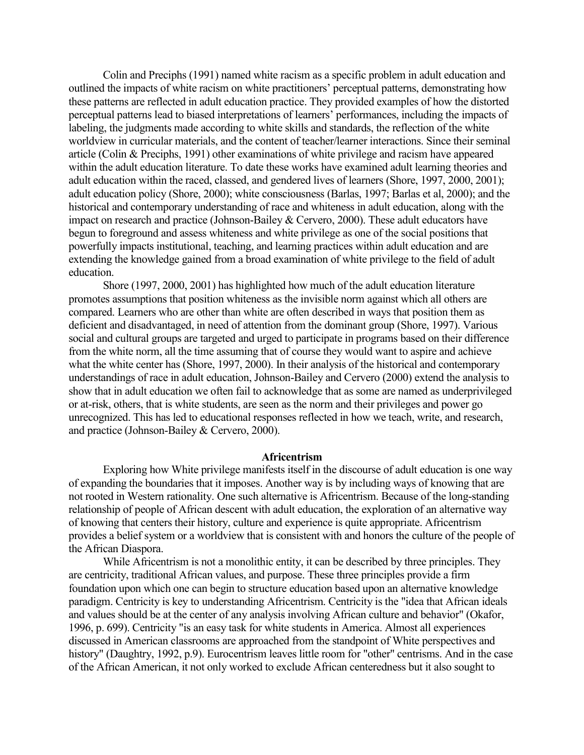Colin and Preciphs (1991) named white racism as a specific problem in adult education and outlined the impacts of white racism on white practitioners' perceptual patterns, demonstrating how these patterns are reflected in adult education practice. They provided examples of how the distorted perceptual patterns lead to biased interpretations of learners' performances, including the impacts of labeling, the judgments made according to white skills and standards, the reflection of the white worldview in curricular materials, and the content of teacher/learner interactions. Since their seminal article (Colin & Preciphs, 1991) other examinations of white privilege and racism have appeared within the adult education literature. To date these works have examined adult learning theories and adult education within the raced, classed, and gendered lives of learners (Shore, 1997, 2000, 2001); adult education policy (Shore, 2000); white consciousness (Barlas, 1997; Barlas et al, 2000); and the historical and contemporary understanding of race and whiteness in adult education, along with the impact on research and practice (Johnson-Bailey & Cervero, 2000). These adult educators have begun to foreground and assess whiteness and white privilege as one of the social positions that powerfully impacts institutional, teaching, and learning practices within adult education and are extending the knowledge gained from a broad examination of white privilege to the field of adult education.

Shore (1997, 2000, 2001) has highlighted how much of the adult education literature promotes assumptions that position whiteness as the invisible norm against which all others are compared. Learners who are other than white are often described in ways that position them as deficient and disadvantaged, in need of attention from the dominant group (Shore, 1997). Various social and cultural groups are targeted and urged to participate in programs based on their difference from the white norm, all the time assuming that of course they would want to aspire and achieve what the white center has (Shore, 1997, 2000). In their analysis of the historical and contemporary understandings of race in adult education, Johnson-Bailey and Cervero (2000) extend the analysis to show that in adult education we often fail to acknowledge that as some are named as underprivileged or at-risk, others, that is white students, are seen as the norm and their privileges and power go unrecognized. This has led to educational responses reflected in how we teach, write, and research, and practice (Johnson-Bailey & Cervero, 2000).

## **Africentrism**

Exploring how White privilege manifests itself in the discourse of adult education is one way of expanding the boundaries that it imposes. Another way is by including ways of knowing that are not rooted in Western rationality. One such alternative is Africentrism. Because of the long-standing relationship of people of African descent with adult education, the exploration of an alternative way of knowing that centers their history, culture and experience is quite appropriate. Africentrism provides a belief system or a worldview that is consistent with and honors the culture of the people of the African Diaspora.

While Africentrism is not a monolithic entity, it can be described by three principles. They are centricity, traditional African values, and purpose. These three principles provide a firm foundation upon which one can begin to structure education based upon an alternative knowledge paradigm. Centricity is key to understanding Africentrism. Centricity is the "idea that African ideals and values should be at the center of any analysis involving African culture and behavior" (Okafor, 1996, p. 699). Centricity "is an easy task for white students in America. Almost all experiences discussed in American classrooms are approached from the standpoint of White perspectives and history" (Daughtry, 1992, p.9). Eurocentrism leaves little room for "other" centrisms. And in the case of the African American, it not only worked to exclude African centeredness but it also sought to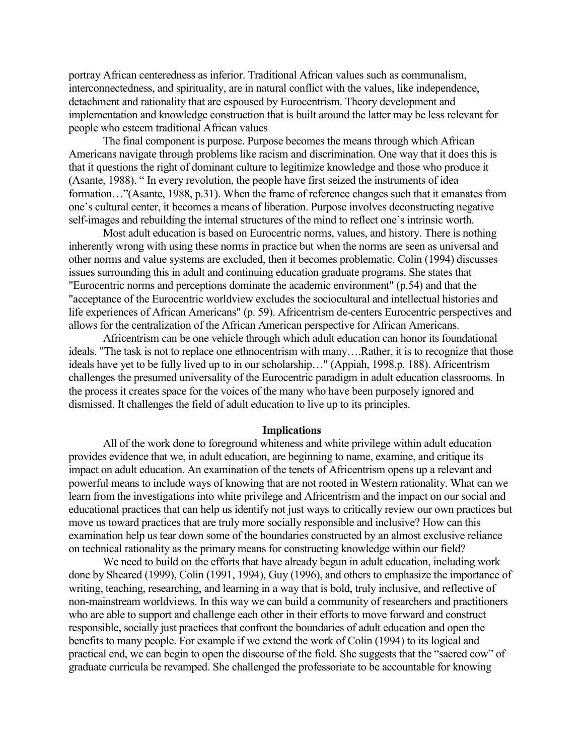portray African centeredness as inferior. Traditional African values such as communalism, interconnectedness, and spirituality, are in natural conflict with the values, like independence, detachment and rationality that are espoused by Eurocentrism. Theory development and implementation and knowledge construction that is built around the latter may be less relevant for people who esteem traditional African values

The final component is purpose. Purpose becomes the means through which African Americans navigate through problems like racism and discrimination. One way that it does this is that it questions the right of dominant culture to legitimize knowledge and those who produce it (Asante, 1988). " In every revolution, the people have first seized the instruments of idea formation…"(Asante, 1988, p.31). When the frame of reference changes such that it emanates from one's cultural center, it becomes a means of liberation. Purpose involves deconstructing negative self-images and rebuilding the internal structures of the mind to reflect one's intrinsic worth.

Most adult education is based on Eurocentric norms, values, and history. There is nothing inherently wrong with using these norms in practice but when the norms are seen as universal and other norms and value systems are excluded, then it becomes problematic. Colin (1994) discusses issues surrounding this in adult and continuing education graduate programs. She states that "Eurocentric norms and perceptions dominate the academic environment" (p.54) and that the "acceptance of the Eurocentric worldview excludes the sociocultural and intellectual histories and life experiences of African Americans" (p. 59). Africentrism de-centers Eurocentric perspectives and allows for the centralization of the African American perspective for African Americans.

Africentrism can be one vehicle through which adult education can honor its foundational ideals. "The task is not to replace one ethnocentrism with many….Rather, it is to recognize that those ideals have yet to be fully lived up to in our scholarship…" (Appiah, 1998,p. 188). Africentrism challenges the presumed universality of the Eurocentric paradigm in adult education classrooms. In the process it creates space for the voices of the many who have been purposely ignored and dismissed. It challenges the field of adult education to live up to its principles.

#### **Implications**

All of the work done to foreground whiteness and white privilege within adult education provides evidence that we, in adult education, are beginning to name, examine, and critique its impact on adult education. An examination of the tenets of Africentrism opens up a relevant and powerful means to include ways of knowing that are not rooted in Western rationality. What can we learn from the investigations into white privilege and Africentrism and the impact on our social and educational practices that can help us identify not just ways to critically review our own practices but move us toward practices that are truly more socially responsible and inclusive? How can this examination help us tear down some of the boundaries constructed by an almost exclusive reliance on technical rationality as the primary means for constructing knowledge within our field?

We need to build on the efforts that have already begun in adult education, including work done by Sheared (1999), Colin (1991, 1994), Guy (1996), and others to emphasize the importance of writing, teaching, researching, and learning in a way that is bold, truly inclusive, and reflective of non-mainstream worldviews. In this way we can build a community of researchers and practitioners who are able to support and challenge each other in their efforts to move forward and construct responsible, socially just practices that confront the boundaries of adult education and open the benefits to many people. For example if we extend the work of Colin (1994) to its logical and practical end, we can begin to open the discourse of the field. She suggests that the "sacred cow" of graduate curricula be revamped. She challenged the professoriate to be accountable for knowing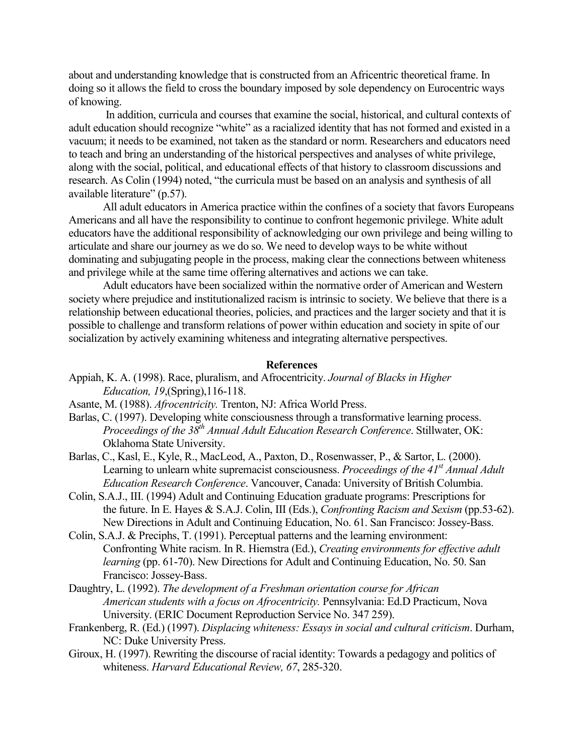about and understanding knowledge that is constructed from an Africentric theoretical frame. In doing so it allows the field to cross the boundary imposed by sole dependency on Eurocentric ways of knowing.

 In addition, curricula and courses that examine the social, historical, and cultural contexts of adult education should recognize "white" as a racialized identity that has not formed and existed in a vacuum; it needs to be examined, not taken as the standard or norm. Researchers and educators need to teach and bring an understanding of the historical perspectives and analyses of white privilege, along with the social, political, and educational effects of that history to classroom discussions and research. As Colin (1994) noted, "the curricula must be based on an analysis and synthesis of all available literature" (p.57).

All adult educators in America practice within the confines of a society that favors Europeans Americans and all have the responsibility to continue to confront hegemonic privilege. White adult educators have the additional responsibility of acknowledging our own privilege and being willing to articulate and share our journey as we do so. We need to develop ways to be white without dominating and subjugating people in the process, making clear the connections between whiteness and privilege while at the same time offering alternatives and actions we can take.

Adult educators have been socialized within the normative order of American and Western society where prejudice and institutionalized racism is intrinsic to society. We believe that there is a relationship between educational theories, policies, and practices and the larger society and that it is possible to challenge and transform relations of power within education and society in spite of our socialization by actively examining whiteness and integrating alternative perspectives.

### **References**

- Appiah, K. A. (1998). Race, pluralism, and Afrocentricity. *Journal of Blacks in Higher Education, 19*,(Spring),116-118.
- Asante, M. (1988). *Afrocentricity.* Trenton, NJ: Africa World Press.
- Barlas, C. (1997). Developing white consciousness through a transformative learning process. *Proceedings of the 38th Annual Adult Education Research Conference*. Stillwater, OK: Oklahoma State University.
- Barlas, C., Kasl, E., Kyle, R., MacLeod, A., Paxton, D., Rosenwasser, P., & Sartor, L. (2000). Learning to unlearn white supremacist consciousness. *Proceedings of the 41<sup>st</sup> Annual Adult Education Research Conference*. Vancouver, Canada: University of British Columbia.
- Colin, S.A.J., III. (1994) Adult and Continuing Education graduate programs: Prescriptions for the future. In E. Hayes & S.A.J. Colin, III (Eds.), *Confronting Racism and Sexism* (pp.53-62). New Directions in Adult and Continuing Education, No. 61. San Francisco: Jossey-Bass.
- Colin, S.A.J. & Preciphs, T. (1991). Perceptual patterns and the learning environment: Confronting White racism. In R. Hiemstra (Ed.), *Creating environments for effective adult learning* (pp. 61-70). New Directions for Adult and Continuing Education, No. 50. San Francisco: Jossey-Bass.
- Daughtry, L. (1992). *The development of a Freshman orientation course for African American students with a focus on Afrocentricity.* Pennsylvania: Ed.D Practicum, Nova University. (ERIC Document Reproduction Service No. 347 259).
- Frankenberg, R. (Ed.) (1997). *Displacing whiteness: Essays in social and cultural criticism*. Durham, NC: Duke University Press.
- Giroux, H. (1997). Rewriting the discourse of racial identity: Towards a pedagogy and politics of whiteness. *Harvard Educational Review, 67*, 285-320.